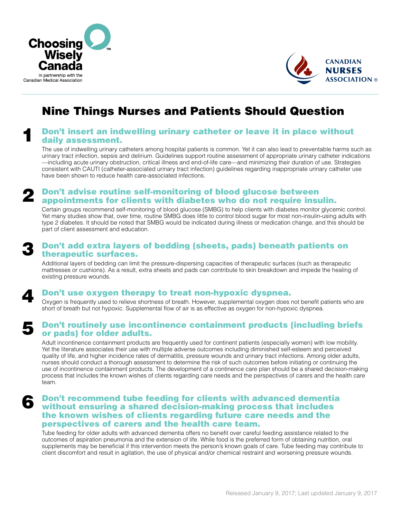



## Nine Things Nurses and Patients Should Question

#### Don't insert an indwelling urinary catheter or leave it in place without daily assessment. 1

The use of indwelling urinary catheters among hospital patients is common. Yet it can also lead to preventable harms such as urinary tract infection, sepsis and delirium. Guidelines support routine assessment of appropriate urinary catheter indications —including acute urinary obstruction, critical illness and end-of-life care—and minimizing their duration of use. Strategies consistent with CAUTI (catheter-associated urinary tract infection) guidelines regarding inappropriate urinary catheter use have been shown to reduce health care-associated infections.

## Don't advise routine self-monitoring of blood glucose between **2** Don't advise routine self-monitoring of blood glucose between<br>appointments for clients with diabetes who do not require insulin.

Certain groups recommend self-monitoring of blood glucose (SMBG) to help clients with diabetes monitor glycemic control. Yet many studies show that, over time, routine SMBG does little to control blood sugar for most non-insulin-using adults with type 2 diabetes. It should be noted that SMBG would be indicated during illness or medication change, and this should be part of client assessment and education.

# 3

4

6

## Don't add extra layers of bedding (sheets, pads) beneath patients on therapeutic surfaces.

Additional layers of bedding can limit the pressure-dispersing capacities of therapeutic surfaces (such as therapeutic mattresses or cushions). As a result, extra sheets and pads can contribute to skin breakdown and impede the healing of existing pressure wounds.

Don't use oxygen therapy to treat non-hypoxic dyspnea.

Oxygen is frequently used to relieve shortness of breath. However, supplemental oxygen does not benefit patients who are short of breath but not hypoxic. Supplemental flow of air is as effective as oxygen for non-hypoxic dyspnea.

#### Don't routinely use incontinence containment products (including briefs or pads) for older adults. 5

Adult incontinence containment products are frequently used for continent patients (especially women) with low mobility. Yet the literature associates their use with multiple adverse outcomes including diminished self-esteem and perceived quality of life, and higher incidence rates of dermatitis, pressure wounds and urinary tract infections. Among older adults, nurses should conduct a thorough assessment to determine the risk of such outcomes before initiating or continuing the use of incontinence containment products. The development of a continence care plan should be a shared decision-making process that includes the known wishes of clients regarding care needs and the perspectives of carers and the health care team.

## Don't recommend tube feeding for clients with advanced dementia without ensuring a shared decision-making process that includes the known wishes of clients regarding future care needs and the perspectives of carers and the health care team.

Tube feeding for older adults with advanced dementia offers no benefit over careful feeding assistance related to the outcomes of aspiration pneumonia and the extension of life. While food is the preferred form of obtaining nutrition, oral supplements may be beneficial if this intervention meets the person's known goals of care. Tube feeding may contribute to client discomfort and result in agitation, the use of physical and/or chemical restraint and worsening pressure wounds.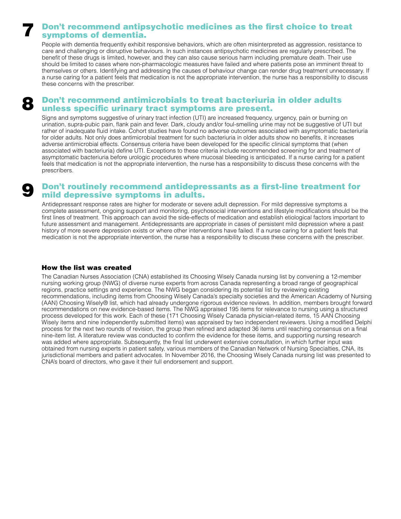## Don't recommend antipsychotic medicines as the first choice to treat symptoms of dementia.

People with dementia frequently exhibit responsive behaviors, which are often misinterpreted as aggression, resistance to care and challenging or disruptive behaviours. In such instances antipsychotic medicines are regularly prescribed. The benefit of these drugs is limited, however, and they can also cause serious harm including premature death. Their use should be limited to cases where non-pharmacologic measures have failed and where patients pose an imminent threat to themselves or others. Identifying and addressing the causes of behaviour change can render drug treatment unnecessary. If a nurse caring for a patient feels that medication is not the appropriate intervention, the nurse has a responsibility to discuss these concerns with the prescriber.

## Don't recommend antimicrobials to treat bacteriuria in older adults unless specific urinary tract symptoms are present.

Signs and symptoms suggestive of urinary tract infection (UTI) are increased frequency, urgency, pain or burning on urination, supra-pubic pain, flank pain and fever. Dark, cloudy and/or foul-smelling urine may not be suggestive of UTI but rather of inadequate fluid intake. Cohort studies have found no adverse outcomes associated with asymptomatic bacteriuria for older adults. Not only does antimicrobial treatment for such bacteriuria in older adults show no benefits, it increases adverse antimicrobial effects. Consensus criteria have been developed for the specific clinical symptoms that (when associated with bacteriuria) define UTI. Exceptions to these criteria include recommended screening for and treatment of asymptomatic bacteriuria before urologic procedures where mucosal bleeding is anticipated. If a nurse caring for a patient feels that medication is not the appropriate intervention, the nurse has a responsibility to discuss these concerns with the prescribers.

### Don't routinely recommend antidepressants as a first-line treatment for mild depressive symptoms in adults.

Antidepressant response rates are higher for moderate or severe adult depression. For mild depressive symptoms a complete assessment, ongoing support and monitoring, psychosocial interventions and lifestyle modifications should be the first lines of treatment. This approach can avoid the side-effects of medication and establish etiological factors important to future assessment and management. Antidepressants are appropriate in cases of persistent mild depression where a past history of more severe depression exists or where other interventions have failed. If a nurse caring for a patient feels that medication is not the appropriate intervention, the nurse has a responsibility to discuss these concerns with the prescriber.

#### How the list was created

7

8

9

The Canadian Nurses Association (CNA) established its Choosing Wisely Canada nursing list by convening a 12-member nursing working group (NWG) of diverse nurse experts from across Canada representing a broad range of geographical regions, practice settings and experience. The NWG began considering its potential list by reviewing existing recommendations, including items from Choosing Wisely Canada's specialty societies and the American Academy of Nursing (AAN) Choosing Wisely® list, which had already undergone rigorous evidence reviews. In addition, members brought forward recommendations on new evidence-based items. The NWG appraised 195 items for relevance to nursing using a structured process developed for this work. Each of these (171 Choosing Wisely Canada physician-related items, 15 AAN Choosing Wisely items and nine independently submitted items) was appraised by two independent reviewers. Using a modified Delphi process for the next two rounds of revision, the group then refined and adapted 36 items until reaching consensus on a final nine-item list. A literature review was conducted to confirm the evidence for these items, and supporting nursing research was added where appropriate. Subsequently, the final list underwent extensive consultation, in which further input was obtained from nursing experts in patient safety, various members of the Canadian Network of Nursing Specialties, CNA, its jurisdictional members and patient advocates. In November 2016, the Choosing Wisely Canada nursing list was presented to CNA's board of directors, who gave it their full endorsement and support.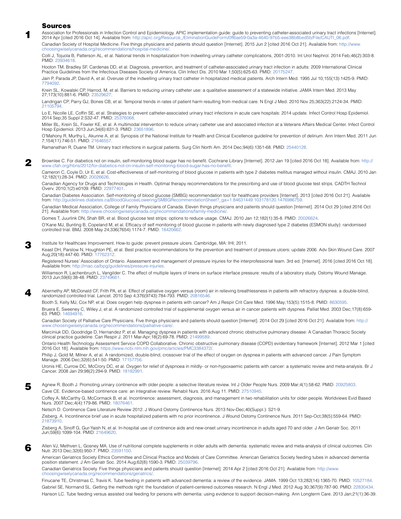#### Sources

| M. |
|----|
|    |
|    |

5

6

4

2

[Association for Professionals in Infection Control and Epidemiology. APIC implementation guide: guide to preventing catheter-associated urinary tract infections \[Internet\].](https://www.ncbi.nlm.nih.gov/pubmed/20026626)  2014 Apr [cited 2016 Oct 14]. Available from: [http://apic.org/Resource\\_/EliminationGuideForm/0ff6ae59-0a3a-4640-97b5-eee38b8bed5b/File/CAUTI\\_06.pdf](http://apic.org/Resource_/EliminationGuideForm/0ff6ae59-0a3a-4640-97b5-eee38b8bed5b/File/CAUTI_06.pdf). Canadian Society of Hospital Medicine. Five things physicians and patients should question [Internet]. 2015 Jun 2 [cited 2016 Oct 21]. Available from: [http://www.](http://www.choosingwiselycanada.org/recommendations/hospital-medicine/)

[choosingwiselycanada.org/recommendations/hospital-medicine/.](http://www.choosingwiselycanada.org/recommendations/hospital-medicine/)

Colli J, Tojuola B, Patterson AL, et al. National trends in hospitalization from indwelling urinary catheter complications, 2001-2010. Int Urol Nephrol. 2014 Feb;46(2):303-8. PMID: [23934618](https://www.ncbi.nlm.nih.gov/pubmed/23934618).

Hooton TM, Bradley SF, Cardenas DD, et al. Diagnosis, prevention, and treatment of catheter-associated urinary tract infection in adults: 2009 International Clinical Practice Guidelines from the Infectious Diseases Society of America. Clin Infect Dis. 2010 Mar 1;50(5):625-63. PMID: [20175247.](https://www.ncbi.nlm.nih.gov/pubmed/20175247 )

Jain P, Parada JP, David A, et al. Overuse of the indwelling urinary tract catheter in hospitalized medical patients. Arch Intern Med. 1995 Jul 10;155(13):1425-9. PMID: [7794092](https://www.ncbi.nlm.nih.gov/pubmed/7794092).

Krein SL, Kowalski CP, Harrod, M, et al. Barriers to reducing urinary catheter use: a qualitative assessment of a statewide initiative. JAMA Intern Med. 2013 May 27;173(10):881-6. PMID: [23529627.](https://www.ncbi.nlm.nih.gov/pubmed/23529627)

Landrigan CP, Parry GJ, Bones CB, et al. Temporal trends in rates of patient harm resulting from medical care. N Engl J Med. 2010 Nov 25;363(22):2124-34. PMID: [21105794](https://www.ncbi.nlm.nih.gov/pubmed/21105794).

Lo E, Nicolle LE, Coffin SE, et al. Strategies to prevent catheter-associated urinary tract infections in acute care hospitals: 2014 update. Infect Control Hosp Epidemiol. 2014 Sep;35 Suppl 2:S32-47. PMID: [25376068.](https://www.ncbi.nlm.nih.gov/pubmed/25376068)

Miller BL, Krein SL, Fowler KE, et al. A multimodal intervention to reduce urinary catheter use and associated infection at a Veterans Affairs Medical Center. Infect Control Hosp Epidemiol. 2013 Jun;34(6):631-3. PMID: [23651896](https://www.ncbi.nlm.nih.gov/pubmed/23651896).

O'Mahony R, Murthy L, Akunne A, et al. Synopsis of the National Institute for Health and Clinical Excellence guideline for prevention of delirium. Ann Intern Med. 2011 Jun 7;154(11):746-51. PMID: [21646557.](https://www.ncbi.nlm.nih.gov/pubmed/21646557)

Ramanathan R, Duane TM. Urinary tract infections in surgical patients. Surg Clin North Am. 2014 Dec;94(6):1351-68. PMID: [25440128.](https://www.ncbi.nlm.nih.gov/pubmed/25440128)

Brownlee C. For diabetics not on insulin, self-monitoring blood sugar has no benefit. Cochrane Library [Internet]. 2012 Jan 19 [cited 2016 Oct 18]. Available from: [http://](http://www.cfah.org/hbns/2012/for-diabetics-not-on-insulin-self-monitoring-blood-sugar-has-no-benefit) ww.cfah.org/hbns/2012/for-diabetics-not-on-insulin-self-monitoring-blood-sugar-has-no-benef

Cameron C, Coyle D, Ur E, et al. Cost-effectiveness of self-monitoring of blood glucose in patients with type 2 diabetes mellitus managed without insulin. CMAJ. 2010 Jan 12;182(1):28-34. PMID: 20026626.

Canadian Agency for Drugs and Technologies in Health. Optimal therapy recommendations for the prescribing and use of blood glucose test strips. CADTH Technol Overv. 2010;1(2):e0109. PMID: [22977401.](https://www.ncbi.nlm.nih.gov/pubmed/22977401)

Canadian Diabetes Association. Self-monitoring of blood glucose (SMBG) recommendation tool for healthcare providers [Internet]. 2013 [cited 2016 Oct 21]. Available from: http://quidelines.diabetes.ca/BloodGlucosel.owering/  $fSMBGRecommendationSheet?$   $qa=1.84631449.103178120.16$ 

Canadian Medical Association, College of Family Physicians of Canada. Eleven things physicians and patients should question [Internet]. 2014 Oct 29 [cited 2016 Oct 21]. Available from:<http://www.choosingwiselycanada.org/recommendations/family-medicine/>.

Gomes T, Juurlink DN, Shah BR, et al. Blood glucose test strips: options to reduce usage. CMAJ. 2010 Jan 12;182(1):35-8. PMID: [20026624](https://www.ncbi.nlm.nih.gov/pubmed/20026624).

O'Kane MJ, Bunting B, Copeland M, et al. Efficacy of self monitoring of blood glucose in patients with newly diagnosed type 2 diabetes (ESMON study): randomised controlled trial. BMJ. 2008 May 24;336(7654):1174-7. PMID: [18420662](https://www.ncbi.nlm.nih.gov/pubmed/18420662).

Institute for Healthcare Improvement. How-to guide: prevent pressure ulcers. Cambridge, MA: IHI; 2011. 3

Keast DH, Parslow N, Houghton PE, et al. Best practice recommendations for the prevention and treatment of pressure ulcers: update 2006. Adv Skin Wound Care. 2007<br>Aug;20(18):447-60. PMID: [17762312.](https://www.ncbi.nlm.nih.gov/pubmed/17762312)

Registered Nurses' Association of Ontario. Assessment and management of pressure injuries for the interprofessional team. 3rd ed. [Internet]. 2016 [cited 2016 Oct 18]. Available from: <http://rnao.ca/bpg/guidelines/pressure-injuries>.

Williamson R, Lachenbruch L, Vangilder C. The effect of multiple layers of linens on surface interface pressure: results of a laboratory study. Ostomy Wound Manage. 2013 Jun;59(6):38-48. PMID: [23749661.](https://www.ncbi.nlm.nih.gov/pubmed/23749661)

Abernethy AP, McDonald CF, Frith PA, et al. Effect of palliative oxygen versus (room) air in relieving breathlessness in patients with refractory dyspnea: a double-blind, randomized controlled trial. Lancet. 2010 Sep 4;376(9743):784-793. PMID: [20816546](https://www.ncbi.nlm.nih.gov/pubmed/20816546).

Booth S, Kelly MJ, Cox NP, et al. Does oxygen help dyspnea in patients with cancer? Am J Respir Crit Care Med. 1996 May;153(5):1515-8. PMID: [8630595.](https://www.ncbi.nlm.nih.gov/pubmed/8630595 
) Bruera E, Sweeney C, Willey J, et al. A randomized controlled trial of supplemental oxygen versus air in cancer patients with dyspnea. Palliat Med. 2003 Dec;17(8):659- 63. PMID: [14694916.](https://www.ncbi.nlm.nih.gov/pubmed/14694916 )

Canadian Society of Palliative Care Physicians. Five things physicians and patients should question [Internet]. 2014 Oct 29 [cited 2016 Oct 21]. Available from: [http://](http://www.choosingwiselycanada.org/recommendations/palliative-care/) www.choosingwiselycanada.org/recommendati

Marciniuk DD, Goodridge D, Hernandez P, et al. Managing dyspnea in patients with advanced chronic obstructive pulmonary disease: A Canadian Thoracic Society clinical practice guideline. Can Respir J. 2011 Mar-Apr;18(2):69-78. PMID: [21499589.](https://www.ncbi.nlm.nih.gov/pubmed/21499589)

Ontario Health Technology Assessment Service COPD Collaborative. Chronic obstructive pulmonary disease (COPD) evidentiary framework [Internet]. 2012 Mar 1 [cited 2016 Oct 18]. Available from: <https://www.ncbi.nlm.nih.gov/pmc/articles/PMC3384372/>.

Philip J, Gold M, Milner A, et al. A randomized, double-blind, crossover trial of the effect of oxygen on dyspnea in patients with advanced cancer. J Pain Symptom Manage. 2006 Dec;32(6):541-50. PMID: 171577

Uronis HE, Currow DC, McCrory DC, et al. Oxygen for relief of dyspnoea in mildly- or non-hypoxaemic patients with cancer: a systematic review and meta-analysis. Br J Cancer. 2008 Jan 29;98(2):294-9. PMID: [18182991](https://www.ncbi.nlm.nih.gov/pubmed/18182991).

Agnew R, Booth J. Promoting urinary continence with older people: a selective literature review. Int J Older People Nurs. 2009 Mar;4(1):58-62. PMID: [20925803.](https://www.ncbi.nlm.nih.gov/pubmed/20925803) Cave CE. Evidence-based continence care: an integrative review. Rehabil Nurs. 2016 Aug 11. PMID: [27510945](https://www.ncbi.nlm.nih.gov/pubmed/27510945).

Coffey A, McCarthy G, McCormack B, et al. Incontinence: assessment, diagnosis, and management in two rehabilitation units for older people. Worldviews Evid Based Nurs. 2007 Dec;4(4):179-86. PMID: [18076461](https://www.ncbi.nlm.nih.gov/pubmed/18076461).

Netsch D. Continence Care Literature Review 2012. J Wound Ostomy Continence Nurs. 2013 Nov-Dec;40(Suppl.): S21-9.

Zisberg, A. Incontinence brief use in acute hospitalized patients with no prior incontinence. J Wound Ostomy Continence Nurs. 2011 Sep-Oct;38(5):559-64. PMID: [21873910](https://www.ncbi.nlm.nih.gov/pubmed/21873910 ).

Zisberg A, Sinoff G, Gur-Yaish N, et al. In-hospital use of continence aids and new-onset urinary incontinence in adults aged 70 and older. J Am Geriatr Soc. 2011 Jun;59(6):1099-104. PMID: [21649620.](https://www.ncbi.nlm.nih.gov/pubmed/21649620)

Allen VJ, Methven L, Gosney MA. Use of nutritional complete supplements in older adults with dementia: systematic review and meta-analysis of clinical outcomes. Clin Nutr. 2013 Dec;32(6):950-7. PMID: [23591150.](https://www.ncbi.nlm.nih.gov/pubmed/23591150 )

American Geriatrics Society Ethics Committee and Clinical Practice and Models of Care Committee. American Geriatrics Society feeding tubes in advanced dementia position statement. J Am Geriatr Soc. 2014 Aug;62(8):1590-3. PMID: [25039796.](https://www.ncbi.nlm.nih.gov/pubmed/25039796 )

Canadian Geriatrics Society. Five things physicians and patients should question [Internet]. 2014 Apr 2 [cited 2016 Oct 21]. Available from: [http://www.](http://www.choosingwiselycanada.org/recommendations/geriatrics/) [choosingwiselycanada.org/recommendations/geriatrics/](http://www.choosingwiselycanada.org/recommendations/geriatrics/).

Finucane TE, Christmas C, Travis K. Tube feeding in patients with advanced dementia: a review of the evidence. JAMA. 1999 Oct 13;282(14):1365-70. PMID: [10527184.](https://www.ncbi.nlm.nih.gov/pubmed/10527184 ) Gabriel SE, Normand SL. Getting the methods right: the foundation of patient-centered outcomes research. N Engl J Med. 2012 Aug 30;367(9):787-90. PMID: [22830434.](https://www.ncbi.nlm.nih.gov/pubmed/22830434 
) Hanson LC. Tube feeding versus assisted oral feeding for persons with dementia: using evidence to support decision-making. Ann Longterm Care. 2013 Jan;21(1):36-39.